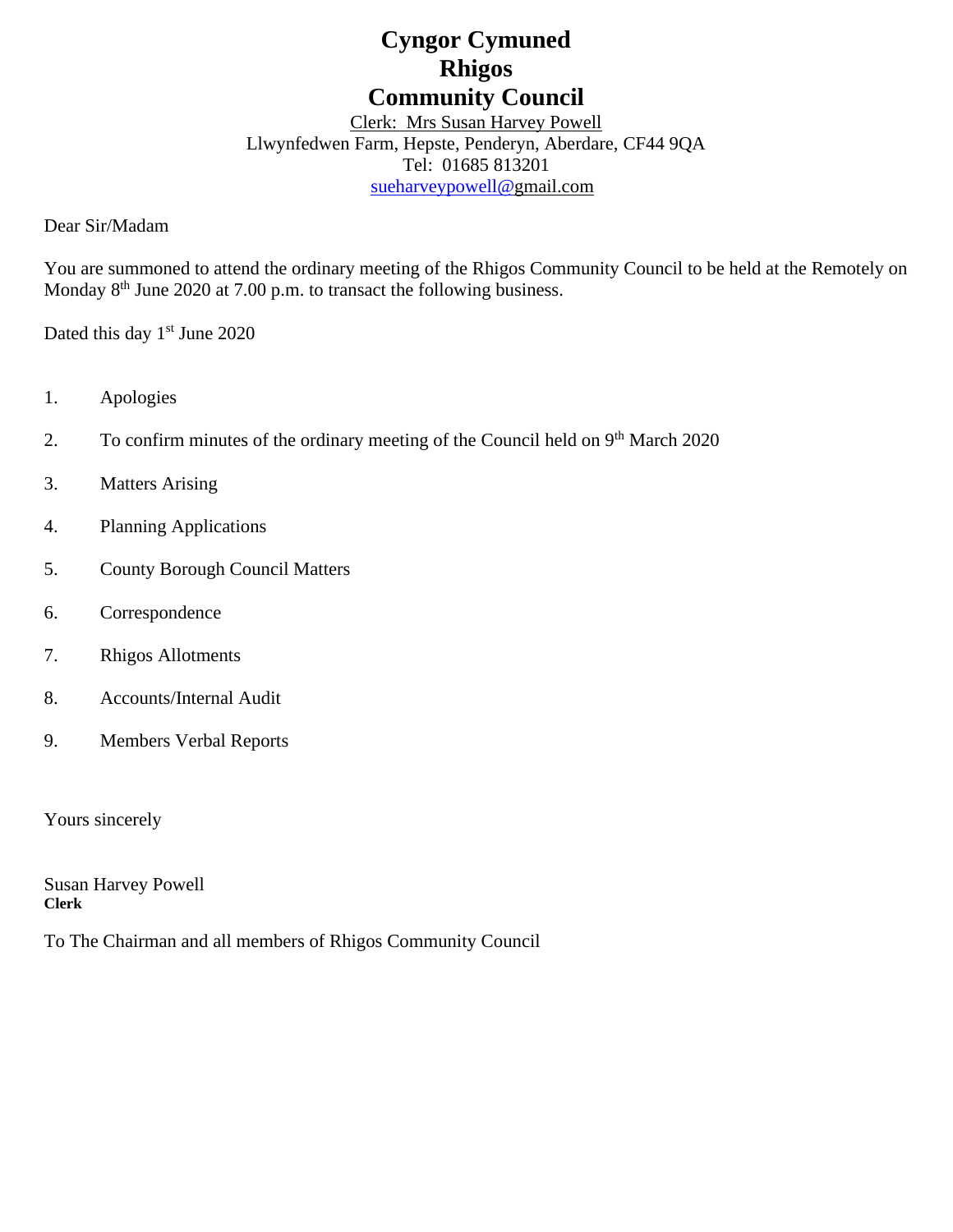# **Cyngor Cymuned Rhigos Community Council**

Clerk: Mrs Susan Harvey Powell Llwynfedwen Farm, Hepste, Penderyn, Aberdare, CF44 9QA Tel: 01685 813201 [sueharveypowell@g](mailto:sharveypowell@comin-infants.co.uk)mail.com

Dear Sir/Madam

You are summoned to attend the ordinary meeting of the Rhigos Community Council to be held at the Remotely on Monday 8<sup>th</sup> June 2020 at 7.00 p.m. to transact the following business.

Dated this day 1<sup>st</sup> June 2020

- 1. Apologies
- 2. To confirm minutes of the ordinary meeting of the Council held on 9<sup>th</sup> March 2020
- 3. Matters Arising
- 4. Planning Applications
- 5. County Borough Council Matters
- 6. Correspondence
- 7. Rhigos Allotments
- 8. Accounts/Internal Audit
- 9. Members Verbal Reports

Yours sincerely

Susan Harvey Powell **Clerk**

To The Chairman and all members of Rhigos Community Council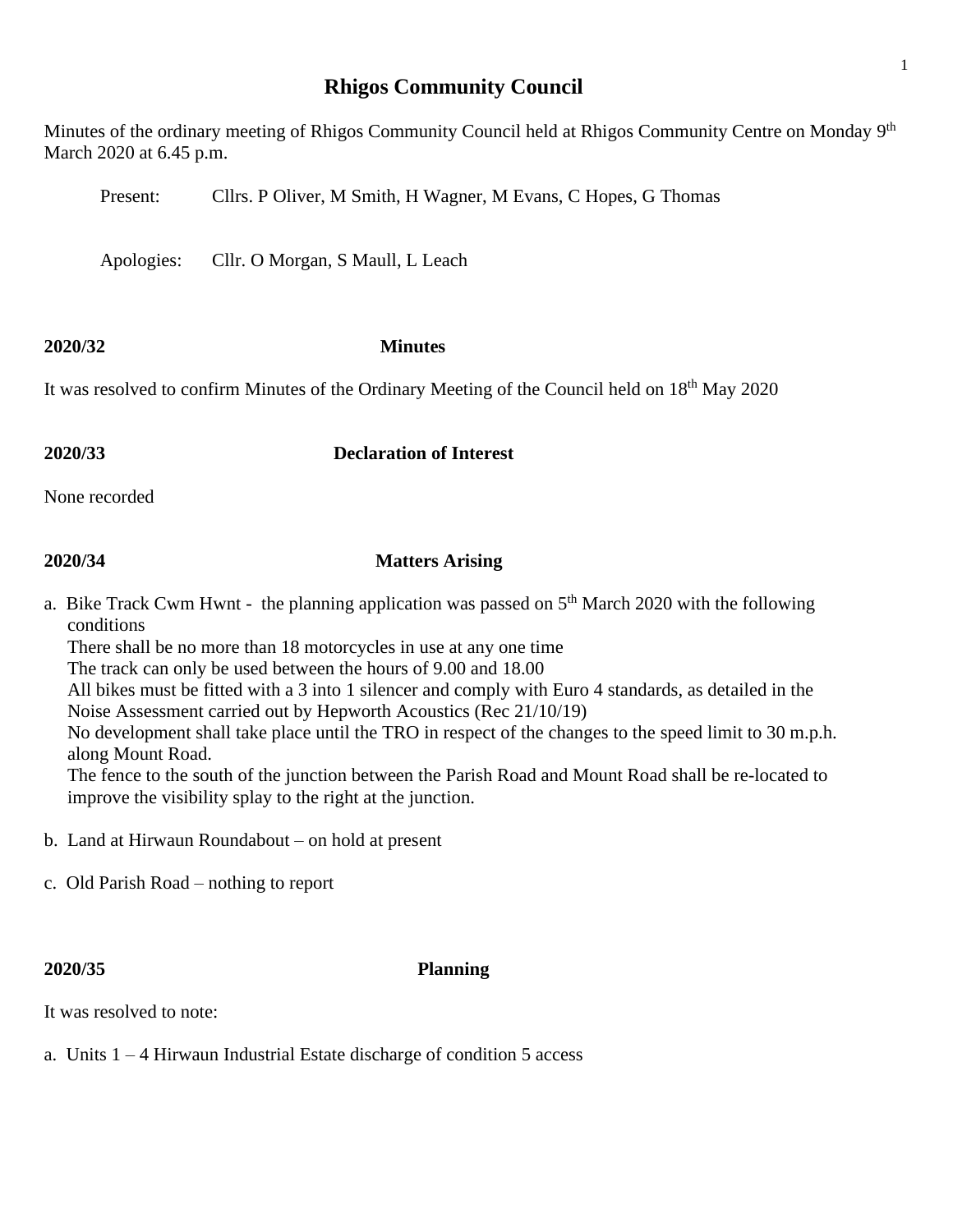# **Rhigos Community Council**

Minutes of the ordinary meeting of Rhigos Community Council held at Rhigos Community Centre on Monday 9<sup>th</sup> March 2020 at 6.45 p.m.

Present: Cllrs. P Oliver, M Smith, H Wagner, M Evans, C Hopes, G Thomas

Apologies: Cllr. O Morgan, S Maull, L Leach

### **2020/32 Minutes**

It was resolved to confirm Minutes of the Ordinary Meeting of the Council held on 18<sup>th</sup> May 2020

# **2020/33 Declaration of Interest**

None recorded

### **2020/34 Matters Arising**

a. Bike Track Cwm Hwnt - the planning application was passed on  $5<sup>th</sup>$  March 2020 with the following conditions

 There shall be no more than 18 motorcycles in use at any one time The track can only be used between the hours of 9.00 and 18.00 All bikes must be fitted with a 3 into 1 silencer and comply with Euro 4 standards, as detailed in the Noise Assessment carried out by Hepworth Acoustics (Rec 21/10/19) No development shall take place until the TRO in respect of the changes to the speed limit to 30 m.p.h. along Mount Road. The fence to the south of the junction between the Parish Road and Mount Road shall be re-located to improve the visibility splay to the right at the junction.

- b. Land at Hirwaun Roundabout on hold at present
- c. Old Parish Road nothing to report

### **2020/35 Planning**

It was resolved to note:

a. Units 1 – 4 Hirwaun Industrial Estate discharge of condition 5 access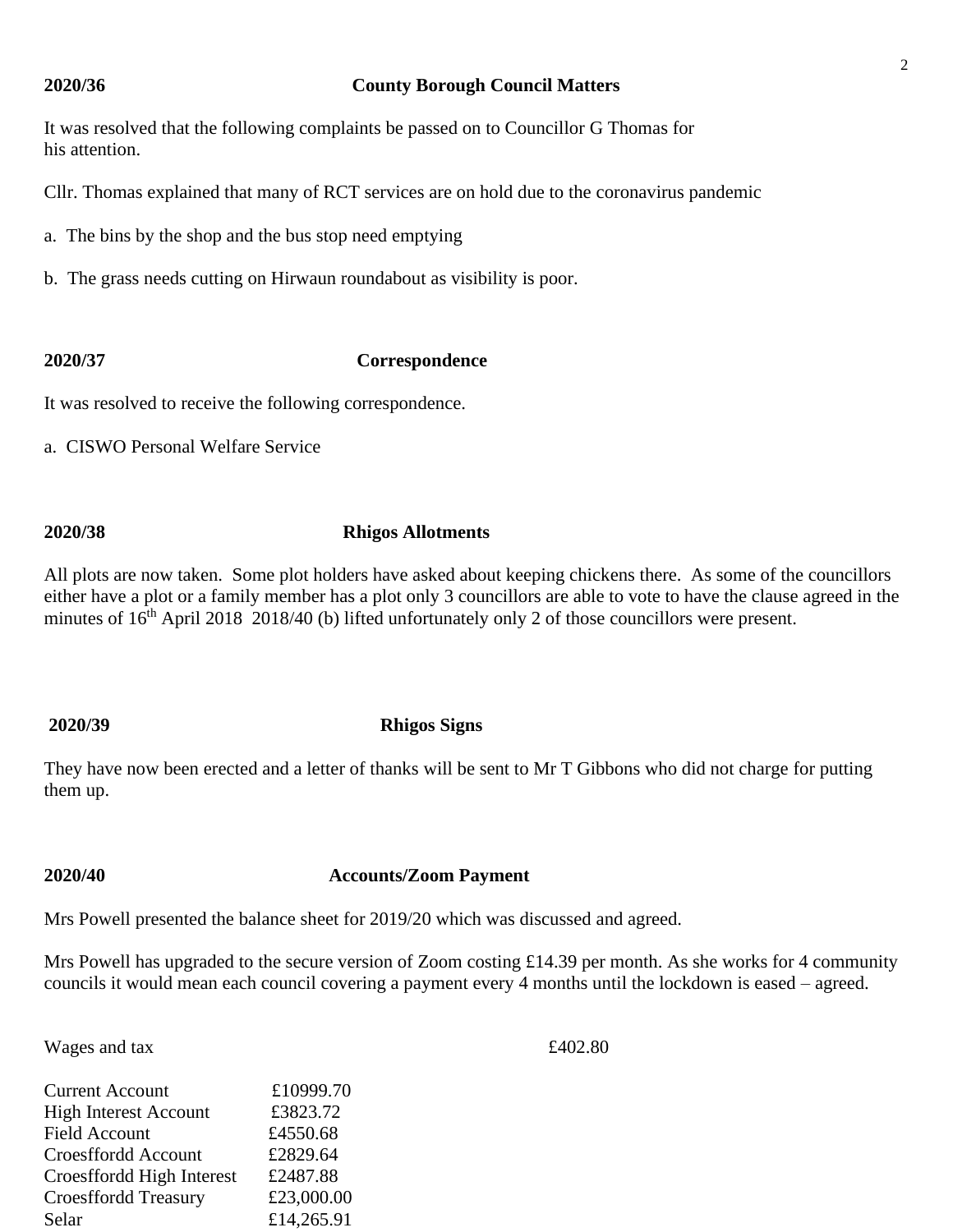### **2020/36 County Borough Council Matters**

It was resolved that the following complaints be passed on to Councillor G Thomas for his attention.

Cllr. Thomas explained that many of RCT services are on hold due to the coronavirus pandemic

a. The bins by the shop and the bus stop need emptying

b. The grass needs cutting on Hirwaun roundabout as visibility is poor.

# **2020/37 Correspondence**

It was resolved to receive the following correspondence.

a. CISWO Personal Welfare Service

# **2020/38 Rhigos Allotments**

All plots are now taken. Some plot holders have asked about keeping chickens there. As some of the councillors either have a plot or a family member has a plot only 3 councillors are able to vote to have the clause agreed in the minutes of 16<sup>th</sup> April 2018 2018/40 (b) lifted unfortunately only 2 of those councillors were present.

### **2020/39 Rhigos Signs**

They have now been erected and a letter of thanks will be sent to Mr T Gibbons who did not charge for putting them up.

# **2020/40 Accounts/Zoom Payment**

Mrs Powell presented the balance sheet for 2019/20 which was discussed and agreed.

Mrs Powell has upgraded to the secure version of Zoom costing £14.39 per month. As she works for 4 community councils it would mean each council covering a payment every 4 months until the lockdown is eased – agreed.

Wages and tax  $\pounds402.80$ 

| <b>Current Account</b>       | £10999.70  |
|------------------------------|------------|
| <b>High Interest Account</b> | £3823.72   |
| <b>Field Account</b>         | £4550.68   |
| Croesffordd Account          | £2829.64   |
| Croesffordd High Interest    | £2487.88   |
| <b>Croesffordd Treasury</b>  | £23,000.00 |
| Selar                        | £14,265.91 |